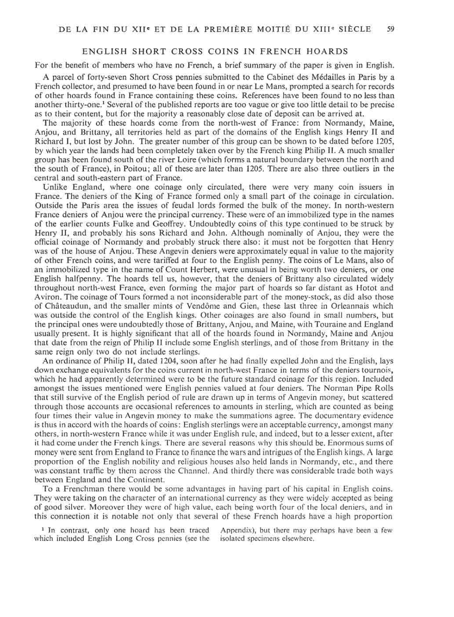## ENGLISH SHORT CROSS COINS IN FRENCH HOARDS

For the benefit of members who have no French, a brief summary of the paper is given in English.

A parcel of forty-seven Short Cross pennies submitted to the Cabinet des Medailles in Paris by a French collector, and presumed to have been found in or near Le Mans, prompted a search for records of other hoards found in France containing these coins. References have been found to no less than another thirty-one.<sup>1</sup> Several of the published reports are too vague or give too little detail to be precise as to their content, but for the majority a reasonably close date of deposit can be arrived at.

The majority of these hoards come from the north-west of France: from Normandy, Maine, Anjou, and Brittany, all territories held as part of the domains of the English kings Henry II and Richard I, but lost by John. The greater number of this group can be shown to be dated before 1205, by which year the lands had been completely taken over by the French king Philip II. A much smaller group has been found south of the river Loire (which forms a natural boundary between the north and the south of France), in Poitou; all of these are later than 1205. There are also three outliers in the central and south-eastern part of France.

Unlike England, where one coinage only circulated, there were very many coin issuers in France. The deniers of the King of France formed only a small part of the coinage in circulation. Outside the Paris area the issues of feudal lords formed the bulk of the money. In north-western France deniers of Anjou were the principal currency. These were of an immobilized type in the names of the earlier counts Fulke and Geoffrey. Undoubtedly coins of this type continued to be struck by Henry II, and probably his sons Richard and John. Although nominally of Anjou, they were the official coinage of Normandy and probably struck there also: it must not be forgotten that Henry was of the house of Anjou. These Angevin deniers were approximately equal in value to the majority of other French coins, and were tariffed at four to the English penny. The coins of Le Mans, also of an immobilized type in the name of Count Herbert, were unusual in being worth two deniers, or one English halfpenny. The hoards tell us, however, that the deniers of Brittany also circulated widely throughout north-west France, even forming the major part of hoards so far distant as Hotot and Aviron. The coinage of Tours formed a not inconsiderable part of the money-stock, as did also those of Chateaudun, and the smaller mints of Vendome and Gien, these last three in Orleannais which was outside the control of the English kings. Other coinages are also found in small numbers, but the principal ones were undoubtedly those of Brittany, Anjou, and Maine, with Touraine and England usually present. It is highly significant that all of the hoards found in Normandy, Maine and Anjou that date from the reign of Philip II include some English sterlings, and of those from Brittany in the same reign only two do not include sterlings.

An ordinance of Philip II, dated 1204, soon after he had finally expelled John and the English, lays down exchange equivalents for the coins current in north-west France in terms of the deniers tournois, which he had apparently determined were to be the future standard coinage for this region. Included amongst the issues mentioned were English pennies valued at four deniers. The Norman Pipe Rolls that still survive of the English period of rule are drawn up in terms of Angevin money, but scattered through those accounts are occasional references to amounts in sterling, which are counted as being four times their value in Angevin money to make the summations agree. The documentary evidence is thus in accord with the hoards of coins: English sterlings were an acceptable currency, amongst many others, in north-western France while it was under English rule, and indeed, but to a lesser extent, after it had come under the French kings. There are several reasons why this should be. Enormous sums of money were sent from England to France to finance the wars and intrigues of the English kings. A large proportion of the English nobility and religious houses also held lands in Normandy, etc., and there was constant traffic by them across the Channel. And thirdly there was considerable trade both ways between England and the Continent.

To a Frenchman there would be some advantages in having part of his capital in English coins. They were taking on the character of an international currency as they were widely accepted as being of good silver. Moreover they were of high value, each being worth four of the local deniers, and in this connection it is notable not only that several of these French hoards have a high proportion

<sup>1</sup> In contrast, only one hoard has been traced which included English Long Cross pennies (see the isolated specimens elsewhere.

Appendix), but there may perhaps have been a few